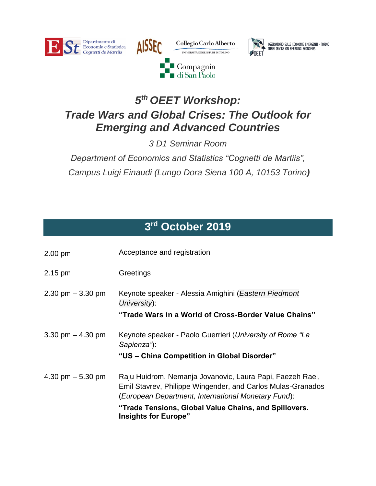





OSSERVATORIO SULLE ECONOMIE EMERGENTI - TORINO<br>TURIN CENTRE ON EMERGING ECONOMIES

## *5 th OEET Workshop: Trade Wars and Global Crises: The Outlook for Emerging and Advanced Countries*

*3 D1 Seminar Room*

*Department of Economics and Statistics "Cognetti de Martiis", Campus Luigi Einaudi (Lungo Dora Siena 100 A, 10153 Torino)*

| 3rd October 2019     |                                                                                                                                                                                                                                                                         |
|----------------------|-------------------------------------------------------------------------------------------------------------------------------------------------------------------------------------------------------------------------------------------------------------------------|
| $2.00$ pm            | Acceptance and registration                                                                                                                                                                                                                                             |
| 2.15 pm              | Greetings                                                                                                                                                                                                                                                               |
| $2.30$ pm $-3.30$ pm | Keynote speaker - Alessia Amighini (Eastern Piedmont<br>University):<br>"Trade Wars in a World of Cross-Border Value Chains"                                                                                                                                            |
| 3.30 pm $-$ 4.30 pm  | Keynote speaker - Paolo Guerrieri (University of Rome "La<br>Sapienza"):<br>"US - China Competition in Global Disorder"                                                                                                                                                 |
| 4.30 pm $-$ 5.30 pm  | Raju Huidrom, Nemanja Jovanovic, Laura Papi, Faezeh Raei,<br>Emil Stavrev, Philippe Wingender, and Carlos Mulas-Granados<br>(European Department, International Monetary Fund):<br>"Trade Tensions, Global Value Chains, and Spillovers.<br><b>Insights for Europe"</b> |